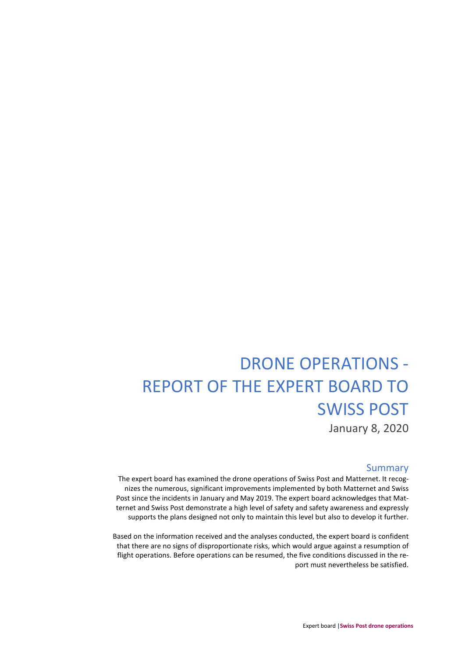# DRONE OPERATIONS - REPORT OF THE EXPERT BOARD TO SWISS POST

January 8, 2020

#### Summary

The expert board has examined the drone operations of Swiss Post and Matternet. It recognizes the numerous, significant improvements implemented by both Matternet and Swiss Post since the incidents in January and May 2019. The expert board acknowledges that Matternet and Swiss Post demonstrate a high level of safety and safety awareness and expressly supports the plans designed not only to maintain this level but also to develop it further.

Based on the information received and the analyses conducted, the expert board is confident that there are no signs of disproportionate risks, which would argue against a resumption of flight operations. Before operations can be resumed, the five conditions discussed in the report must nevertheless be satisfied.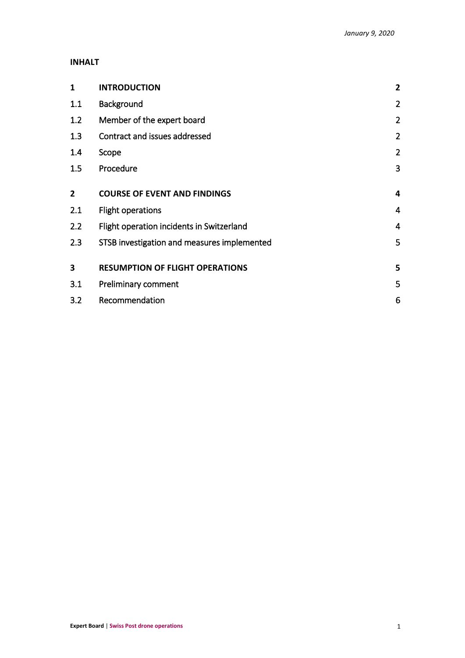#### **INHALT**

| 1              | <b>INTRODUCTION</b>                         | $\overline{2}$ |
|----------------|---------------------------------------------|----------------|
| 1.1            | Background                                  | $\overline{2}$ |
| 1.2            | Member of the expert board                  | $\overline{2}$ |
| 1.3            | Contract and issues addressed               | $\overline{2}$ |
| 1.4            | Scope                                       | $\overline{2}$ |
| 1.5            | Procedure                                   | 3              |
| $\overline{2}$ | <b>COURSE OF EVENT AND FINDINGS</b>         | 4              |
| 2.1            | <b>Flight operations</b>                    | 4              |
| 2.2            | Flight operation incidents in Switzerland   | $\overline{4}$ |
| 2.3            | STSB investigation and measures implemented | 5              |
| 3              | <b>RESUMPTION OF FLIGHT OPERATIONS</b>      | 5              |
| 3.1            | Preliminary comment                         | 5              |
| 3.2            | Recommendation                              | 6              |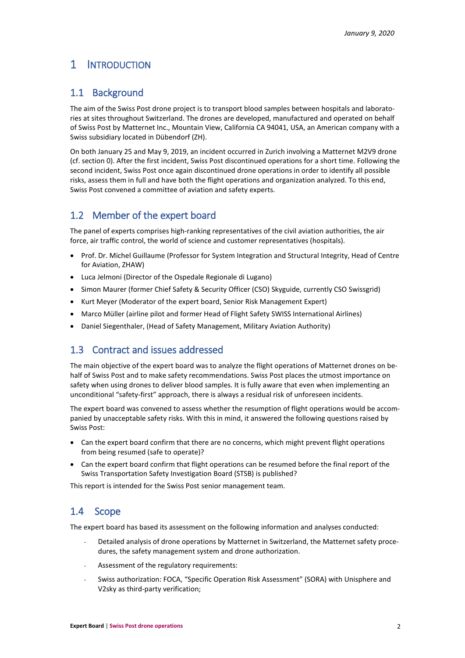# <span id="page-2-0"></span>1 INTRODUCTION

## <span id="page-2-1"></span>1.1 Background

The aim of the Swiss Post drone project is to transport blood samples between hospitals and laboratories at sites throughout Switzerland. The drones are developed, manufactured and operated on behalf of Swiss Post by Matternet Inc., Mountain View, California CA 94041, USA, an American company with a Swiss subsidiary located in Dübendorf (ZH).

On both January 25 and May 9, 2019, an incident occurred in Zurich involving a Matternet M2V9 drone (cf. sectio[n 0\)](#page-4-3). After the first incident, Swiss Post discontinued operations for a short time. Following the second incident, Swiss Post once again discontinued drone operations in order to identify all possible risks, assess them in full and have both the flight operations and organization analyzed. To this end, Swiss Post convened a committee of aviation and safety experts.

# <span id="page-2-2"></span>1.2 Member of the expert board

The panel of experts comprises high-ranking representatives of the civil aviation authorities, the air force, air traffic control, the world of science and customer representatives (hospitals).

- Prof. Dr. Michel Guillaume (Professor for System Integration and Structural Integrity, Head of Centre for Aviation, ZHAW)
- Luca Jelmoni (Director of the Ospedale Regionale di Lugano)
- Simon Maurer (former Chief Safety & Security Officer (CSO) Skyguide, currently CSO Swissgrid)
- Kurt Meyer (Moderator of the expert board, Senior Risk Management Expert)
- Marco Müller (airline pilot and former Head of Flight Safety SWISS International Airlines)
- Daniel Siegenthaler, (Head of Safety Management, Military Aviation Authority)

# <span id="page-2-3"></span>1.3 Contract and issues addressed

The main objective of the expert board was to analyze the flight operations of Matternet drones on behalf of Swiss Post and to make safety recommendations. Swiss Post places the utmost importance on safety when using drones to deliver blood samples. It is fully aware that even when implementing an unconditional "safety-first" approach, there is always a residual risk of unforeseen incidents.

The expert board was convened to assess whether the resumption of flight operations would be accompanied by unacceptable safety risks. With this in mind, it answered the following questions raised by Swiss Post:

- Can the expert board confirm that there are no concerns, which might prevent flight operations from being resumed (safe to operate)?
- Can the expert board confirm that flight operations can be resumed before the final report of the Swiss Transportation Safety Investigation Board (STSB) is published?

This report is intended for the Swiss Post senior management team.

# <span id="page-2-4"></span>1.4 Scope

The expert board has based its assessment on the following information and analyses conducted:

- Detailed analysis of drone operations by Matternet in Switzerland, the Matternet safety procedures, the safety management system and drone authorization.
- Assessment of the regulatory requirements:
- Swiss authorization: FOCA, "Specific Operation Risk Assessment" (SORA) with Unisphere and V2sky as third-party verification;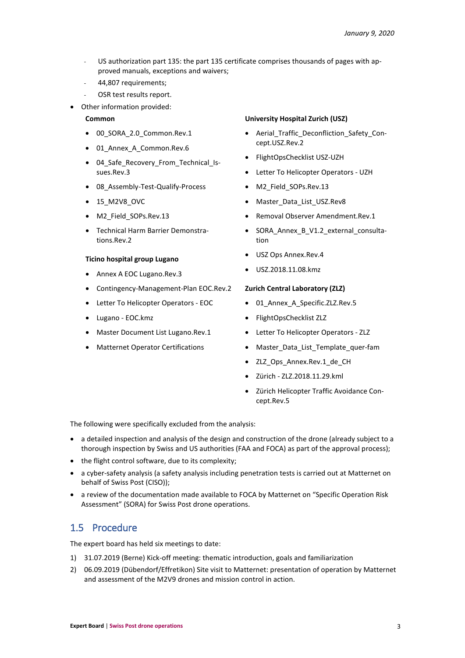- US authorization part 135: the part 135 certificate comprises thousands of pages with approved manuals, exceptions and waivers;
- 44,807 requirements;
- OSR test results report.
- Other information provided:

#### **Common**

- 00\_SORA\_2.0\_Common.Rev.1
- 01\_Annex\_A\_Common.Rev.6
- 04\_Safe\_Recovery\_From\_Technical\_Issues.Rev.3
- 08\_Assembly-Test-Qualify-Process
- 15\_M2V8\_OVC
- M2 Field SOPs.Rev.13
- Technical Harm Barrier Demonstrations.Rev.2

#### **Ticino hospital group Lugano**

- Annex A EOC Lugano.Rev.3
- Contingency-Management-Plan EOC.Rev.2
- Letter To Helicopter Operators EOC
- Lugano EOC.kmz
- Master Document List Lugano.Rev.1
- Matternet Operator Certifications

#### **University Hospital Zurich (USZ)**

- Aerial Traffic Deconfliction Safety Concept.USZ.Rev.2
- FlightOpsChecklist USZ-UZH
- Letter To Helicopter Operators UZH
- M2 Field SOPs.Rev.13
- Master Data List USZ.Rev8
- Removal Observer Amendment.Rev.1
- SORA Annex B V1.2 external consultation
- USZ Ops Annex.Rev.4
- USZ.2018.11.08.kmz

#### **Zurich Central Laboratory (ZLZ)**

- 01\_Annex\_A\_Specific.ZLZ.Rev.5
- FlightOpsChecklist ZLZ
- Letter To Helicopter Operators ZLZ
- Master\_Data\_List\_Template\_quer-fam
- ZLZ\_Ops\_Annex.Rev.1\_de\_CH
- Zürich ZLZ.2018.11.29.kml
- Zürich Helicopter Traffic Avoidance Concept.Rev.5

The following were specifically excluded from the analysis:

- a detailed inspection and analysis of the design and construction of the drone (already subject to a thorough inspection by Swiss and US authorities (FAA and FOCA) as part of the approval process);
- the flight control software, due to its complexity;
- a cyber-safety analysis (a safety analysis including penetration tests is carried out at Matternet on behalf of Swiss Post (CISO));
- a review of the documentation made available to FOCA by Matternet on "Specific Operation Risk Assessment" (SORA) for Swiss Post drone operations.

# <span id="page-3-0"></span>1.5 Procedure

The expert board has held six meetings to date:

- 1) 31.07.2019 (Berne) Kick-off meeting: thematic introduction, goals and familiarization
- 2) 06.09.2019 (Dübendorf/Effretikon) Site visit to Matternet: presentation of operation by Matternet and assessment of the M2V9 drones and mission control in action.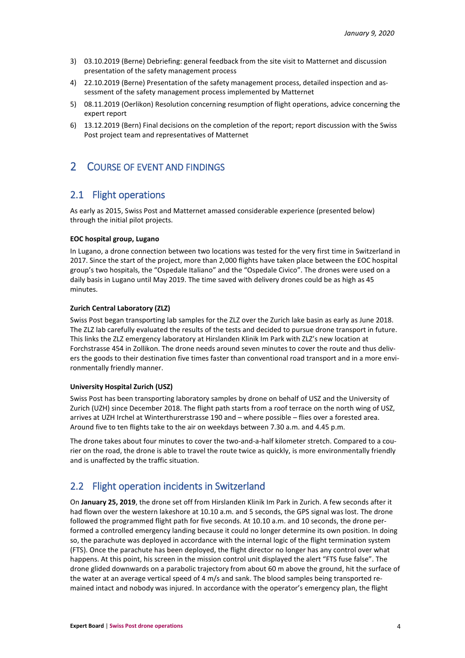- 3) 03.10.2019 (Berne) Debriefing: general feedback from the site visit to Matternet and discussion presentation of the safety management process
- 4) 22.10.2019 (Berne) Presentation of the safety management process, detailed inspection and assessment of the safety management process implemented by Matternet
- 5) 08.11.2019 (Oerlikon) Resolution concerning resumption of flight operations, advice concerning the expert report
- 6) 13.12.2019 (Bern) Final decisions on the completion of the report; report discussion with the Swiss Post project team and representatives of Matternet

## <span id="page-4-0"></span>2 COURSE OF EVENT AND FINDINGS

## <span id="page-4-1"></span>2.1 Flight operations

<span id="page-4-3"></span>As early as 2015, Swiss Post and Matternet amassed considerable experience (presented below) through the initial pilot projects.

#### **EOC hospital group, Lugano**

In Lugano, a drone connection between two locations was tested for the very first time in Switzerland in 2017. Since the start of the project, more than 2,000 flights have taken place between the EOC hospital group's two hospitals, the "Ospedale Italiano" and the "Ospedale Civico". The drones were used on a daily basis in Lugano until May 2019. The time saved with delivery drones could be as high as 45 minutes.

#### **Zurich Central Laboratory (ZLZ)**

Swiss Post began transporting lab samples for the ZLZ over the Zurich lake basin as early as June 2018. The ZLZ lab carefully evaluated the results of the tests and decided to pursue drone transport in future. This links the ZLZ emergency laboratory at Hirslanden Klinik Im Park with ZLZ's new location at Forchstrasse 454 in Zollikon. The drone needs around seven minutes to cover the route and thus delivers the goods to their destination five times faster than conventional road transport and in a more environmentally friendly manner.

#### **University Hospital Zurich (USZ)**

Swiss Post has been transporting laboratory samples by drone on behalf of USZ and the University of Zurich (UZH) since December 2018. The flight path starts from a roof terrace on the north wing of USZ, arrives at UZH Irchel at Winterthurerstrasse 190 and – where possible – flies over a forested area. Around five to ten flights take to the air on weekdays between 7.30 a.m. and 4.45 p.m.

The drone takes about four minutes to cover the two-and-a-half kilometer stretch. Compared to a courier on the road, the drone is able to travel the route twice as quickly, is more environmentally friendly and is unaffected by the traffic situation.

## <span id="page-4-2"></span>2.2 Flight operation incidents in Switzerland

On **January 25, 2019**, the drone set off from Hirslanden Klinik Im Park in Zurich. A few seconds after it had flown over the western lakeshore at 10.10 a.m. and 5 seconds, the GPS signal was lost. The drone followed the programmed flight path for five seconds. At 10.10 a.m. and 10 seconds, the drone performed a controlled emergency landing because it could no longer determine its own position. In doing so, the parachute was deployed in accordance with the internal logic of the flight termination system (FTS). Once the parachute has been deployed, the flight director no longer has any control over what happens. At this point, his screen in the mission control unit displayed the alert "FTS fuse false". The drone glided downwards on a parabolic trajectory from about 60 m above the ground, hit the surface of the water at an average vertical speed of 4 m/s and sank. The blood samples being transported remained intact and nobody was injured. In accordance with the operator's emergency plan, the flight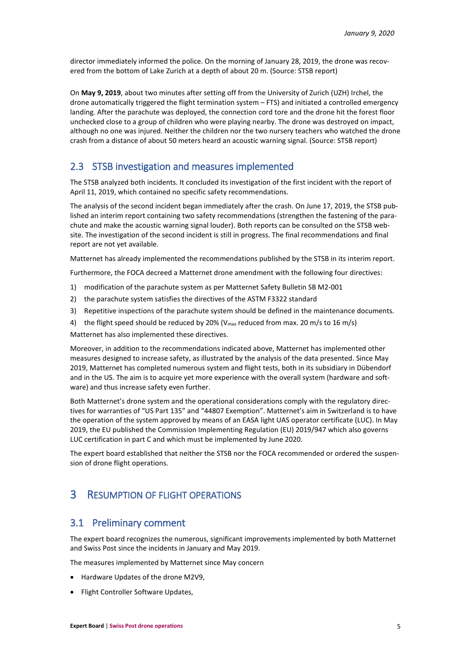director immediately informed the police. On the morning of January 28, 2019, the drone was recovered from the bottom of Lake Zurich at a depth of about 20 m. (Source: STSB report)

On **May 9, 2019**, about two minutes after setting off from the University of Zurich (UZH) Irchel, the drone automatically triggered the flight termination system – FTS) and initiated a controlled emergency landing. After the parachute was deployed, the connection cord tore and the drone hit the forest floor unchecked close to a group of children who were playing nearby. The drone was destroyed on impact, although no one was injured. Neither the children nor the two nursery teachers who watched the drone crash from a distance of about 50 meters heard an acoustic warning signal. (Source: STSB report)

## <span id="page-5-0"></span>2.3 STSB investigation and measures implemented

The STSB analyzed both incidents. It concluded its investigation of the first incident with the report of April 11, 2019, which contained no specific safety recommendations.

The analysis of the second incident began immediately after the crash. On June 17, 2019, the STSB published an interim report containing two safety recommendations (strengthen the fastening of the parachute and make the acoustic warning signal louder). Both reports can be consulted on the STSB website. The investigation of the second incident is still in progress. The final recommendations and final report are not yet available.

Matternet has already implemented the recommendations published by the STSB in its interim report.

Furthermore, the FOCA decreed a Matternet drone amendment with the following four directives:

- 1) modification of the parachute system as per Matternet Safety Bulletin SB M2-001
- 2) the parachute system satisfies the directives of the ASTM F3322 standard
- 3) Repetitive inspections of the parachute system should be defined in the maintenance documents.
- 4) the flight speed should be reduced by 20% ( $V_{\text{max}}$  reduced from max. 20 m/s to 16 m/s)

Matternet has also implemented these directives.

Moreover, in addition to the recommendations indicated above, Matternet has implemented other measures designed to increase safety, as illustrated by the analysis of the data presented. Since May 2019, Matternet has completed numerous system and flight tests, both in its subsidiary in Dübendorf and in the US. The aim is to acquire yet more experience with the overall system (hardware and software) and thus increase safety even further.

Both Matternet's drone system and the operational considerations comply with the regulatory directives for warranties of "US Part 135" and "44807 Exemption". Matternet's aim in Switzerland is to have the operation of the system approved by means of an EASA light UAS operator certificate (LUC). In May 2019, the EU published the Commission Implementing Regulation (EU) 2019/947 which also governs LUC certification in part C and which must be implemented by June 2020.

The expert board established that neither the STSB nor the FOCA recommended or ordered the suspension of drone flight operations.

## <span id="page-5-1"></span>3 RESUMPTION OF FLIGHT OPERATIONS

#### <span id="page-5-2"></span>3.1 Preliminary comment

The expert board recognizes the numerous, significant improvements implemented by both Matternet and Swiss Post since the incidents in January and May 2019.

The measures implemented by Matternet since May concern

- Hardware Updates of the drone M2V9,
- Flight Controller Software Updates,